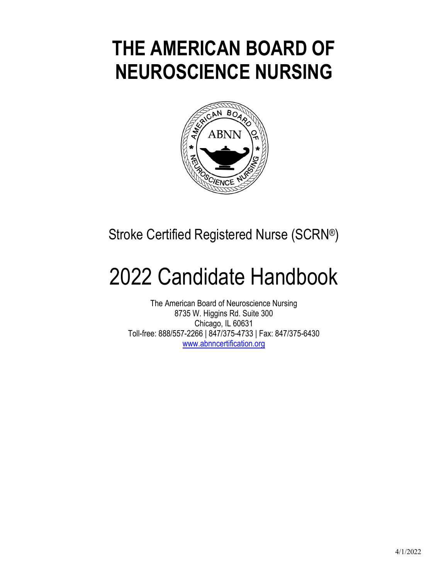# **THE AMERICAN BOARD OF NEUROSCIENCE NURSING**



Stroke Certified Registered Nurse (SCRN®)

# 2022 Candidate Handbook

The American Board of Neuroscience Nursing 8735 W. Higgins Rd. Suite 300 Chicago, IL 60631 Toll-free: 888/557-2266 | 847/375-4733 | Fax: 847/375-6430 www.abnncertification.org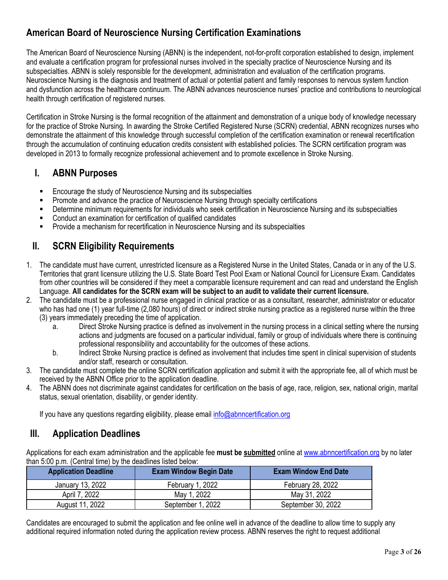## **American Board of Neuroscience Nursing Certification Examinations**

The American Board of Neuroscience Nursing (ABNN) is the independent, not-for-profit corporation established to design, implement and evaluate a certification program for professional nurses involved in the specialty practice of Neuroscience Nursing and its subspecialties. ABNN is solely responsible for the development, administration and evaluation of the certification programs. Neuroscience Nursing is the diagnosis and treatment of actual or potential patient and family responses to nervous system function and dysfunction across the healthcare continuum. The ABNN advances neuroscience nurses' practice and contributions to neurological health through certification of registered nurses.

Certification in Stroke Nursing is the formal recognition of the attainment and demonstration of a unique body of knowledge necessary for the practice of Stroke Nursing. In awarding the Stroke Certified Registered Nurse (SCRN) credential, ABNN recognizes nurses who demonstrate the attainment of this knowledge through successful completion of the certification examination or renewal recertification through the accumulation of continuing education credits consistent with established policies. The SCRN certification program was developed in 2013 to formally recognize professional achievement and to promote excellence in Stroke Nursing.

## **I. ABNN Purposes**

- Encourage the study of Neuroscience Nursing and its subspecialties
- Promote and advance the practice of Neuroscience Nursing through specialty certifications
- Determine minimum requirements for individuals who seek certification in Neuroscience Nursing and its subspecialties
- Conduct an examination for certification of qualified candidates
- Provide a mechanism for recertification in Neuroscience Nursing and its subspecialties

## **II. SCRN Eligibility Requirements**

- 1. The candidate must have current, unrestricted licensure as a Registered Nurse in the United States, Canada or in any of the U.S. Territories that grant licensure utilizing the U.S. State Board Test Pool Exam or National Council for Licensure Exam. Candidates from other countries will be considered if they meet a comparable licensure requirement and can read and understand the English Language. **All candidates for the SCRN exam will be subject to an audit to validate their current licensure.**
- 2. The candidate must be a professional nurse engaged in clinical practice or as a consultant, researcher, administrator or educator who has had one (1) year full-time (2,080 hours) of direct or indirect stroke nursing practice as a registered nurse within the three (3) years immediately preceding the time of application.
	- a. Direct Stroke Nursing practice is defined as involvement in the nursing process in a clinical setting where the nursing actions and judgments are focused on a particular individual, family or group of individuals where there is continuing professional responsibility and accountability for the outcomes of these actions.
	- b. Indirect Stroke Nursing practice is defined as involvement that includes time spent in clinical supervision of students and/or staff, research or consultation.
- 3. The candidate must complete the online SCRN certification application and submit it with the appropriate fee, all of which must be received by the ABNN Office prior to the application deadline.
- 4. The ABNN does not discriminate against candidates for certification on the basis of age, race, religion, sex, national origin, marital status, sexual orientation, disability, or gender identity.

If you have any questions regarding eligibility, please email info@abnncertification.org

## **III. Application Deadlines**

Applications for each exam administration and the applicable fee **must be submitted** online at www.abnncertification.org by no later than 5:00 p.m. (Central time) by the deadlines listed below:

| <b>Application Deadline</b> | <b>Exam Window Begin Date</b> | <b>Exam Window End Date</b> |
|-----------------------------|-------------------------------|-----------------------------|
| January 13, 2022            | February 1, 2022              | February 28, 2022           |
| April 7, 2022               | May 1, 2022                   | May 31, 2022                |
| August 11, 2022             | September 1, 2022             | September 30, 2022          |

Candidates are encouraged to submit the application and fee online well in advance of the deadline to allow time to supply any additional required information noted during the application review process. ABNN reserves the right to request additional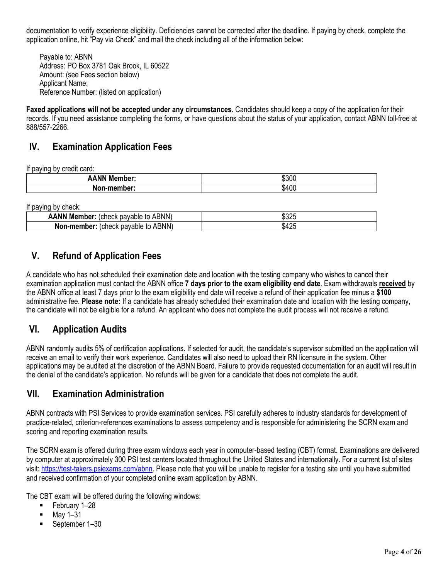documentation to verify experience eligibility. Deficiencies cannot be corrected after the deadline. If paying by check, complete the application online, hit "Pay via Check" and mail the check including all of the information below:

Payable to: ABNN Address: PO Box 3781 Oak Brook, IL 60522 Amount: (see Fees section below) Applicant Name: Reference Number: (listed on application)

**Faxed applications will not be accepted under any circumstances**. Candidates should keep a copy of the application for their records. If you need assistance completing the forms, or have questions about the status of your application, contact ABNN toll-free at 888/557-2266.

## **IV. Examination Application Fees**

If paying by credit card:

| <b>ANN M</b><br>ember:<br>Mei | のへへ<br>აასს |
|-------------------------------|-------------|
| aher:                         | $\sqrt{2}$  |
| NO                            | \$400       |

If paying by check:

| .<br>--------                                             |                     |
|-----------------------------------------------------------|---------------------|
| <b>ANN Member:</b><br>to ABNN)<br>navahle<br>uneck hr     | 0.005<br>∍ ∙0ປ∠⊾    |
| <b>ABNN</b><br>Non<br>-member:<br>(check<br>pavable<br>to | $\sqrt{2}$<br>\$425 |

## **V. Refund of Application Fees**

A candidate who has not scheduled their examination date and location with the testing company who wishes to cancel their examination application must contact the ABNN office **7 days prior to the exam eligibility end date**. Exam withdrawals **received** by the ABNN office at least 7 days prior to the exam eligibility end date will receive a refund of their application fee minus a **\$100** administrative fee. **Please note:** If a candidate has already scheduled their examination date and location with the testing company, the candidate will not be eligible for a refund. An applicant who does not complete the audit process will not receive a refund.

## **VI. Application Audits**

ABNN randomly audits 5% of certification applications. If selected for audit, the candidate's supervisor submitted on the application will receive an email to verify their work experience. Candidates will also need to upload their RN licensure in the system. Other applications may be audited at the discretion of the ABNN Board. Failure to provide requested documentation for an audit will result in the denial of the candidate's application. No refunds will be given for a candidate that does not complete the audit.

## **VII. Examination Administration**

ABNN contracts with PSI Services to provide examination services. PSI carefully adheres to industry standards for development of practice-related, criterion-references examinations to assess competency and is responsible for administering the SCRN exam and scoring and reporting examination results.

The SCRN exam is offered during three exam windows each year in computer-based testing (CBT) format. Examinations are delivered by computer at approximately 300 PSI test centers located throughout the United States and internationally. For a current list of sites visit: https://test-takers.psiexams.com/abnn. Please note that you will be unable to register for a testing site until you have submitted and received confirmation of your completed online exam application by ABNN.

The CBT exam will be offered during the following windows:

- **February 1–28**
- May 1–31
- September 1–30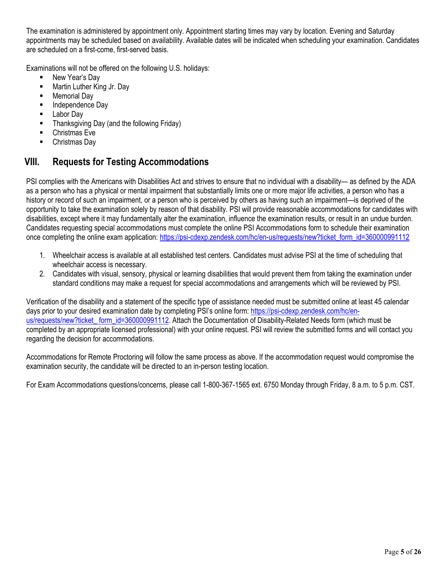The examination is administered by appointment only. Appointment starting times may vary by location. Evening and Saturday appointments may be scheduled based on availability. Available dates will be indicated when scheduling your examination. Candidates are scheduled on a first-come, first-served basis.

Examinations will not be offered on the following U.S. holidays:

- New Year's Day
- **Martin Luther King Jr. Day**
- **Memorial Day**
- Independence Day
- Labor Day
- Thanksgiving Day (and the following Friday)
- **-** Christmas Eve
- Christmas Day

## **VIII. Requests for Testing Accommodations**

PSI complies with the Americans with Disabilities Act and strives to ensure that no individual with a disability— as defined by the ADA as a person who has a physical or mental impairment that substantially limits one or more major life activities, a person who has a history or record of such an impairment, or a person who is perceived by others as having such an impairment—is deprived of the opportunity to take the examination solely by reason of that disability. PSI will provide reasonable accommodations for candidates with disabilities, except where it may fundamentally alter the examination, influence the examination results, or result in an undue burden. Candidates requesting special accommodations must complete the online PSI Accommodations form to schedule their examination once completing the online exam application: https://psi-cdexp.zendesk.com/hc/en-us/requests/new?ticket\_form\_id=360000991112

- 1. Wheelchair access is available at all established test centers. Candidates must advise PSI at the time of scheduling that wheelchair access is necessary.
- 2. Candidates with visual, sensory, physical or learning disabilities that would prevent them from taking the examination under standard conditions may make a request for special accommodations and arrangements which will be reviewed by PSI.

Verification of the disability and a statement of the specific type of assistance needed must be submitted online at least 45 calendar days prior to your desired examination date by completing PSI's online form: https://psi-cdexp.zendesk.com/hc/enus/requests/new?ticket\_ form\_id=360000991112. Attach the Documentation of Disability-Related Needs form (which must be completed by an appropriate licensed professional) with your online request. PSI will review the submitted forms and will contact you regarding the decision for accommodations.

Accommodations for Remote Proctoring will follow the same process as above. If the accommodation request would compromise the examination security, the candidate will be directed to an in-person testing location.

For Exam Accommodations questions/concerns, please call 1-800-367-1565 ext. 6750 Monday through Friday, 8 a.m. to 5 p.m. CST.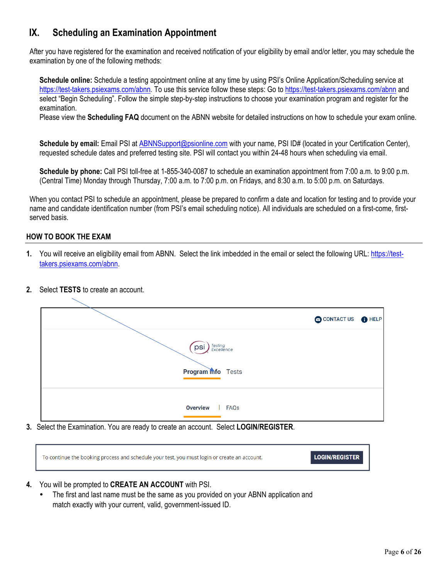## **IX. Scheduling an Examination Appointment**

After you have registered for the examination and received notification of your eligibility by email and/or letter, you may schedule the examination by one of the following methods:

**Schedule online:** Schedule a testing appointment online at any time by using PSI's Online Application/Scheduling service at https://test-takers.psiexams.com/abnn*.* To use this service follow these steps: Go to https://test-takers.psiexams.com/abnn and select "Begin Scheduling". Follow the simple step-by-step instructions to choose your examination program and register for the examination.

Please view the **Scheduling FAQ** document on the ABNN website for detailed instructions on how to schedule your exam online.

**Schedule by email:** Email PSI at ABNNSupport@psionline.com with your name, PSI ID# (located in your Certification Center), requested schedule dates and preferred testing site. PSI will contact you within 24-48 hours when scheduling via email.

**Schedule by phone:** Call PSI toll-free at 1-855-340-0087 to schedule an examination appointment from 7:00 a.m. to 9:00 p.m. (Central Time) Monday through Thursday, 7:00 a.m. to 7:00 p.m. on Fridays, and 8:30 a.m. to 5:00 p.m. on Saturdays.

When you contact PSI to schedule an appointment, please be prepared to confirm a date and location for testing and to provide your name and candidate identification number (from PSI's email scheduling notice). All individuals are scheduled on a first-come, firstserved basis.

#### **HOW TO BOOK THE EXAM**

- **1.** You will receive an eligibility email from ABNN. Select the link imbedded in the email or select the following URL: https://testtakers.psiexams.com/abnn.
- **2.** Select **TESTS** to create an account.

|                                                          | CONTACT US <b>O</b> HELP |  |
|----------------------------------------------------------|--------------------------|--|
| Testing<br>Excellence<br>psi<br><b>Program</b> mfo Tests |                          |  |
| <b>Overview</b><br>  FAQs                                |                          |  |

**3.** Select the Examination. You are ready to create an account. Select **LOGIN/REGISTER**.

| To continue the booking process and schedule your test, you must login or create an account. | <b>LOGIN/REGISTER</b> |
|----------------------------------------------------------------------------------------------|-----------------------|
|                                                                                              |                       |

- **4.** You will be prompted to **CREATE AN ACCOUNT** with PSI.
	- The first and last name must be the same as you provided on your ABNN application and match exactly with your current, valid, government-issued ID.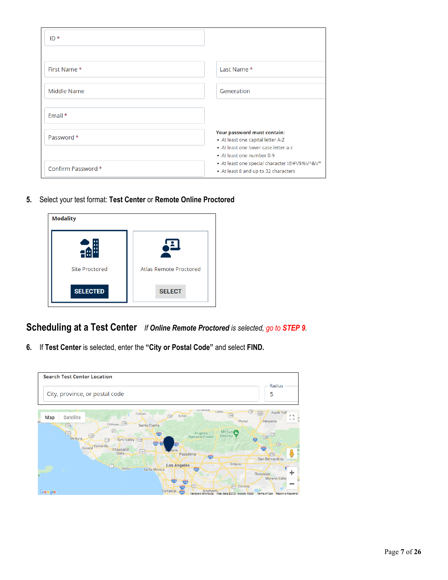| $ID*$              |                                                                                                          |
|--------------------|----------------------------------------------------------------------------------------------------------|
|                    |                                                                                                          |
| First Name*        | Last Name *                                                                                              |
| Middle Name        | Generation                                                                                               |
| Email $*$          |                                                                                                          |
| Password *         | Your password must contain:<br>• At least one capital letter A-Z<br>• At least one lower case letter a-z |
|                    | • At least one number 0-9                                                                                |
| Confirm Password * | • At least one special character !@#V\$%V^&V*<br>• At least 8 and up to 32 characters                    |

**5.** Select your test format: **Test Center** or **Remote Online Proctored**

| <b>Modality</b>       |                               |
|-----------------------|-------------------------------|
|                       |                               |
| <b>Site Proctored</b> | <b>Atlas Remote Proctored</b> |
| <b>SELECTED</b>       | <b>SELECT</b>                 |

**Scheduling at a Test Center** *If Online Remote Proctored is selected, go to STEP 9.*

**6.** If **Test Center** is selected, enter the **"City or Postal Code"** and select **FIND.**

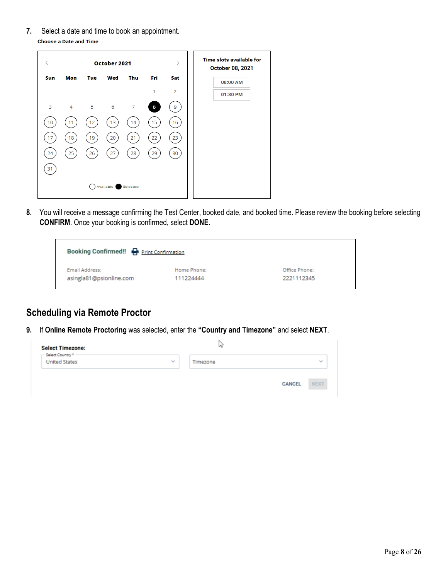**7.** Select a date and time to book an appointment. **Choose a Date and Time** 

| K   |                | $\rm{>}$<br>October 2021 |           |                |     |                |          | <b>Time slots available for</b><br><b>October 08, 2021</b> |
|-----|----------------|--------------------------|-----------|----------------|-----|----------------|----------|------------------------------------------------------------|
| Sun | Mon            | Tue                      | Wed       | Thu            | Fri | Sat            | 08:00 AM |                                                            |
|     |                |                          |           |                | 1   | $\overline{2}$ | 01:30 PM |                                                            |
| 3   | $\overline{4}$ | 5                        | 6         | $\overline{7}$ | 8   | 9              |          |                                                            |
| 10  | 11             | 12                       | 13        | 14             | 15  | 16             |          |                                                            |
| 17  | 18             | 19                       | 20        | 21             | 22  | 23             |          |                                                            |
|     |                |                          |           |                |     |                |          |                                                            |
| 24  | 25             | 26                       | 27        | 28             | 29  | 30             |          |                                                            |
| 31  |                |                          |           |                |     |                |          |                                                            |
|     |                |                          | Available | Selected       |     |                |          |                                                            |
|     |                |                          |           |                |     |                |          |                                                            |

**8.** You will receive a message confirming the Test Center, booked date, and booked time. Please review the booking before selecting **CONFIRM**. Once your booking is confirmed, select **DONE.**

| <b>Booking Confirmed!! P</b> Print Confirmation |             |               |
|-------------------------------------------------|-------------|---------------|
| Email Address:                                  | Home Phone: | Office Phone: |
| asingla81@psionline.com                         | 111224444   | 2221112345    |

## **Scheduling via Remote Proctor**

**9.** If **Online Remote Proctoring** was selected, enter the **"Country and Timezone"** and select **NEXT**.

| <b>Select Timezone:</b><br>- Select Country * - |        | M        |               |              |
|-------------------------------------------------|--------|----------|---------------|--------------|
| <b>United States</b>                            | $\sim$ | Timezone |               | $\checkmark$ |
|                                                 |        |          | <b>CANCEL</b> | <b>NEXT</b>  |
|                                                 |        |          |               |              |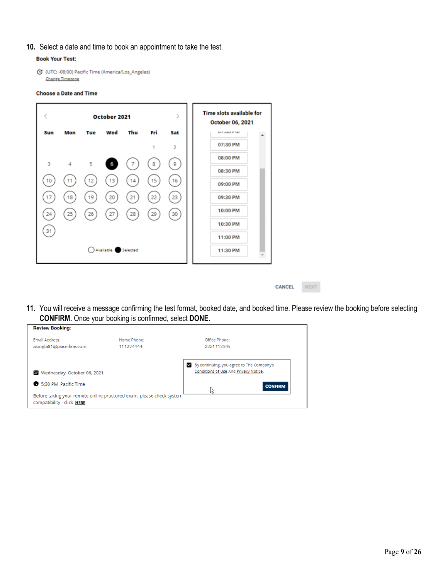#### **10.** Select a date and time to book an appointment to take the test.

#### **Book Your Test:**

C (UTC: -08:00) Pacific Time (America/Los\_Angeles) Change Timezone

#### **Choose a Date and Time**



CANCEL NEXT

**11.** You will receive a message confirming the test format, booked date, and booked time. Please review the booking before selecting **CONFIRM.** Once your booking is confirmed, select **DONE.**

| Email Address:                                                                                     | Home Phone: | Office Phone:                             |
|----------------------------------------------------------------------------------------------------|-------------|-------------------------------------------|
| asingla81@psionline.com                                                                            | 111224444   | 2221112345                                |
|                                                                                                    |             | By continuing, you agree to The Company's |
| Wednesday, October 06, 2021                                                                        |             | Conditions of Use And Privacy Notice.     |
| 5:30 PM Pacific Time                                                                               |             | <b>CONFIRM</b>                            |
| Before taking your remote online proctored exam, please check system<br>compatibility - click HERE |             | じ                                         |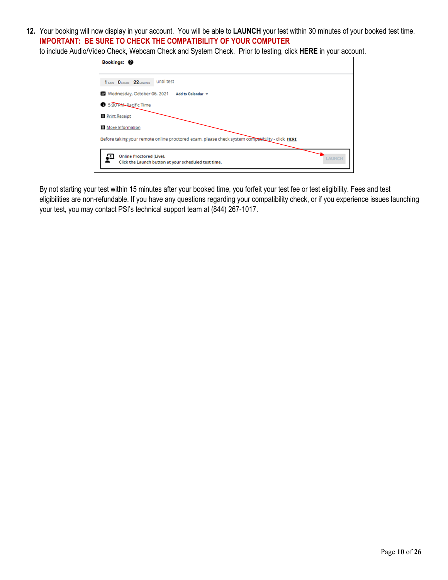**12.** Your booking will now display in your account. You will be able to **LAUNCH** your test within 30 minutes of your booked test time. **IMPORTANT: BE SURE TO CHECK THE COMPATIBILITY OF YOUR COMPUTER**

to include Audio/Video Check, Webcam Check and System Check. Prior to testing, click **HERE** in your account.

| Bookings: <sup>@</sup>                                                                            |  |
|---------------------------------------------------------------------------------------------------|--|
| 1 DAYS 0 HOURS 22 MINUTES UNTIl test                                                              |  |
| Wednesday, October 06, 2021<br>Add to Calendar v                                                  |  |
| 5:30 PM-Pacific Time                                                                              |  |
| Print Receipt                                                                                     |  |
| More Information                                                                                  |  |
| Before taking your remote online proctored exam, please check system compatibility - click HERE   |  |
| <b>Online Proctored (Live).</b><br>LAUNCH<br>Click the Launch button at your scheduled test time. |  |

By not starting your test within 15 minutes after your booked time, you forfeit your test fee or test eligibility. Fees and test eligibilities are non-refundable. If you have any questions regarding your compatibility check, or if you experience issues launching your test, you may contact PSI's technical support team at (844) 267-1017.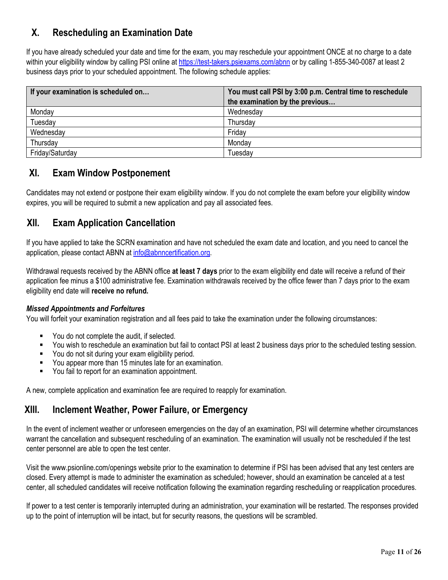## **X. Rescheduling an Examination Date**

If you have already scheduled your date and time for the exam, you may reschedule your appointment ONCE at no charge to a date within your eligibility window by calling PSI online at https://test-takers.psiexams.com/abnn or by calling 1-855-340-0087 at least 2 business days prior to your scheduled appointment. The following schedule applies:

| If your examination is scheduled on | You must call PSI by 3:00 p.m. Central time to reschedule |  |  |
|-------------------------------------|-----------------------------------------------------------|--|--|
|                                     | the examination by the previous                           |  |  |
| Monday                              | Wednesday                                                 |  |  |
| Tuesday                             | Thursday                                                  |  |  |
| Wednesday                           | Friday                                                    |  |  |
| Thursday                            | Monday                                                    |  |  |
| Friday/Saturday                     | Tuesday                                                   |  |  |

## **XI. Exam Window Postponement**

Candidates may not extend or postpone their exam eligibility window. If you do not complete the exam before your eligibility window expires, you will be required to submit a new application and pay all associated fees.

## **XII. Exam Application Cancellation**

If you have applied to take the SCRN examination and have not scheduled the exam date and location, and you need to cancel the application, please contact ABNN at info@abnncertification.org.

Withdrawal requests received by the ABNN office **at least 7 days** prior to the exam eligibility end date will receive a refund of their application fee minus a \$100 administrative fee. Examination withdrawals received by the office fewer than 7 days prior to the exam eligibility end date will **receive no refund.**

#### *Missed Appointments and Forfeitures*

You will forfeit your examination registration and all fees paid to take the examination under the following circumstances:

- You do not complete the audit, if selected.
- You wish to reschedule an examination but fail to contact PSI at least 2 business days prior to the scheduled testing session.
- You do not sit during your exam eligibility period.
- You appear more than 15 minutes late for an examination.
- You fail to report for an examination appointment.

A new, complete application and examination fee are required to reapply for examination.

## **XIII. Inclement Weather, Power Failure, or Emergency**

In the event of inclement weather or unforeseen emergencies on the day of an examination, PSI will determine whether circumstances warrant the cancellation and subsequent rescheduling of an examination. The examination will usually not be rescheduled if the test center personnel are able to open the test center.

Visit the www.psionline.com/openings website prior to the examination to determine if PSI has been advised that any test centers are closed. Every attempt is made to administer the examination as scheduled; however, should an examination be canceled at a test center, all scheduled candidates will receive notification following the examination regarding rescheduling or reapplication procedures.

If power to a test center is temporarily interrupted during an administration, your examination will be restarted. The responses provided up to the point of interruption will be intact, but for security reasons, the questions will be scrambled.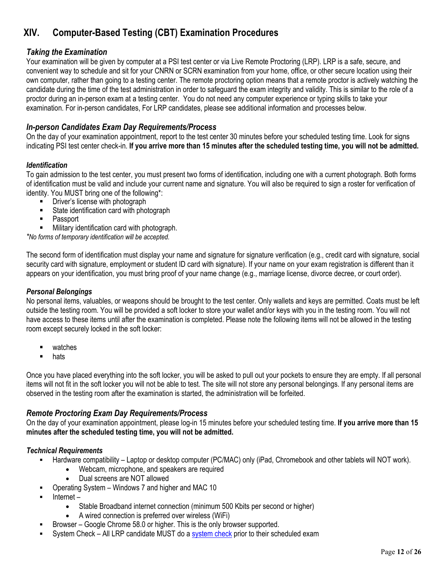## **XIV. Computer-Based Testing (CBT) Examination Procedures**

### *Taking the Examination*

Your examination will be given by computer at a PSI test center or via Live Remote Proctoring (LRP). LRP is a safe, secure, and convenient way to schedule and sit for your CNRN or SCRN examination from your home, office, or other secure location using their own computer, rather than going to a testing center. The remote proctoring option means that a remote proctor is actively watching the candidate during the time of the test administration in order to safeguard the exam integrity and validity. This is similar to the role of a proctor during an in-person exam at a testing center. You do not need any computer experience or typing skills to take your examination. For in-person candidates, For LRP candidates, please see additional information and processes below.

## *In-person Candidates Exam Day Requirements/Process*

On the day of your examination appointment, report to the test center 30 minutes before your scheduled testing time. Look for signs indicating PSI test center check-in. **If you arrive more than 15 minutes after the scheduled testing time, you will not be admitted.** 

#### *Identification*

To gain admission to the test center, you must present two forms of identification, including one with a current photograph. Both forms of identification must be valid and include your current name and signature. You will also be required to sign a roster for verification of identity. You MUST bring one of the following\*:

- Driver's license with photograph
- **State identification card with photograph**
- Passport
- Military identification card with photograph.

*\*No forms of temporary identification will be accepted.* 

The second form of identification must display your name and signature for signature verification (e.g., credit card with signature, social security card with signature, employment or student ID card with signature). If your name on your exam registration is different than it appears on your identification, you must bring proof of your name change (e.g., marriage license, divorce decree, or court order).

#### *Personal Belongings*

No personal items, valuables, or weapons should be brought to the test center. Only wallets and keys are permitted. Coats must be left outside the testing room. You will be provided a soft locker to store your wallet and/or keys with you in the testing room. You will not have access to these items until after the examination is completed. Please note the following items will not be allowed in the testing room except securely locked in the soft locker:

- watches
- **n** hats

Once you have placed everything into the soft locker, you will be asked to pull out your pockets to ensure they are empty. If all personal items will not fit in the soft locker you will not be able to test. The site will not store any personal belongings. If any personal items are observed in the testing room after the examination is started, the administration will be forfeited.

#### *Remote Proctoring Exam Day Requirements/Process*

On the day of your examination appointment, please log-in 15 minutes before your scheduled testing time. **If you arrive more than 15 minutes after the scheduled testing time, you will not be admitted.**

#### *Technical Requirements*

- Hardware compatibility Laptop or desktop computer (PC/MAC) only (iPad, Chromebook and other tablets will NOT work).
	- Webcam, microphone, and speakers are required
	- Dual screens are NOT allowed
- Operating System Windows 7 and higher and MAC 10
- Internet
	- Stable Broadband internet connection (minimum 500 Kbits per second or higher)
	- A wired connection is preferred over wireless (WiFi)
- Browser Google Chrome 58.0 or higher. This is the only browser supported.
- System Check All LRP candidate MUST do a system check prior to their scheduled exam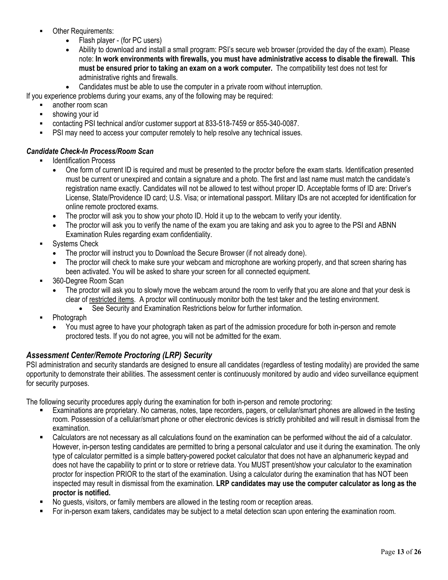- Other Requirements:
	- Flash player (for PC users)
	- Ability to download and install a small program: PSI's secure web browser (provided the day of the exam). Please note: **In work environments with firewalls, you must have administrative access to disable the firewall. This must be ensured prior to taking an exam on a work computer.** The compatibility test does not test for administrative rights and firewalls.
	- Candidates must be able to use the computer in a private room without interruption.

If you experience problems during your exams, any of the following may be required:

- another room scan
- **showing your id**
- contacting PSI technical and/or customer support at 833-518-7459 or 855-340-0087.
- PSI may need to access your computer remotely to help resolve any technical issues.

#### *Candidate Check-In Process/Room Scan*

- Identification Process
	- One form of current ID is required and must be presented to the proctor before the exam starts. Identification presented must be current or unexpired and contain a signature and a photo. The first and last name must match the candidate's registration name exactly. Candidates will not be allowed to test without proper ID. Acceptable forms of ID are: Driver's License, State/Providence ID card; U.S. Visa; or international passport. Military IDs are not accepted for identification for online remote proctored exams.
	- The proctor will ask you to show your photo ID. Hold it up to the webcam to verify your identity.
	- The proctor will ask you to verify the name of the exam you are taking and ask you to agree to the PSI and ABNN Examination Rules regarding exam confidentiality.
- Systems Check
	- The proctor will instruct you to Download the Secure Browser (if not already done).
	- The proctor will check to make sure your webcam and microphone are working properly, and that screen sharing has been activated. You will be asked to share your screen for all connected equipment.
- 360-Degree Room Scan
	- The proctor will ask you to slowly move the webcam around the room to verify that you are alone and that your desk is clear of restricted items. A proctor will continuously monitor both the test taker and the testing environment.
		- See Security and Examination Restrictions below for further information.
- Photograph
	- You must agree to have your photograph taken as part of the admission procedure for both in-person and remote proctored tests. If you do not agree, you will not be admitted for the exam.

### *Assessment Center/Remote Proctoring (LRP) Security*

PSI administration and security standards are designed to ensure all candidates (regardless of testing modality) are provided the same opportunity to demonstrate their abilities. The assessment center is continuously monitored by audio and video surveillance equipment for security purposes.

The following security procedures apply during the examination for both in-person and remote proctoring:

- Examinations are proprietary. No cameras, notes, tape recorders, pagers, or cellular/smart phones are allowed in the testing room. Possession of a cellular/smart phone or other electronic devices is strictly prohibited and will result in dismissal from the examination.
- Calculators are not necessary as all calculations found on the examination can be performed without the aid of a calculator. However, in-person testing candidates are permitted to bring a personal calculator and use it during the examination. The only type of calculator permitted is a simple battery-powered pocket calculator that does not have an alphanumeric keypad and does not have the capability to print or to store or retrieve data. You MUST present/show your calculator to the examination proctor for inspection PRIOR to the start of the examination. Using a calculator during the examination that has NOT been inspected may result in dismissal from the examination. **LRP candidates may use the computer calculator as long as the proctor is notified.**
- No guests, visitors, or family members are allowed in the testing room or reception areas.
- For in-person exam takers, candidates may be subject to a metal detection scan upon entering the examination room.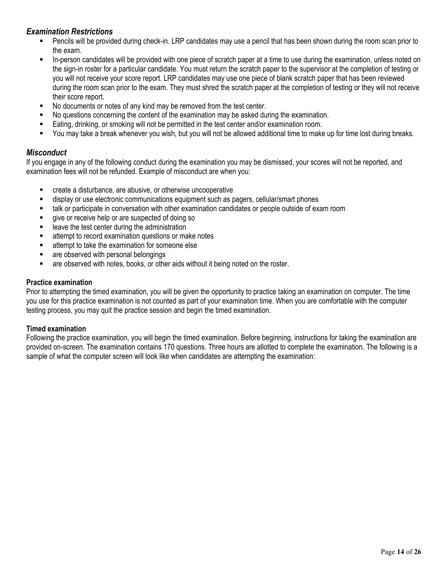### *Examination Restrictions*

- Pencils will be provided during check-in. LRP candidates may use a pencil that has been shown during the room scan prior to the exam.
- In-person candidates will be provided with one piece of scratch paper at a time to use during the examination, unless noted on the sign-in roster for a particular candidate. You must return the scratch paper to the supervisor at the completion of testing or you will not receive your score report. LRP candidates may use one piece of blank scratch paper that has been reviewed during the room scan prior to the exam. They must shred the scratch paper at the completion of testing or they will not receive their score report.
- No documents or notes of any kind may be removed from the test center.
- No questions concerning the content of the examination may be asked during the examination.
- Eating, drinking, or smoking will not be permitted in the test center and/or examination room.
- You may take a break whenever you wish, but you will not be allowed additional time to make up for time lost during breaks.

#### *Misconduct*

If you engage in any of the following conduct during the examination you may be dismissed, your scores will not be reported, and examination fees will not be refunded. Example of misconduct are when you:

- create a disturbance, are abusive, or otherwise uncooperative
- display or use electronic communications equipment such as pagers, cellular/smart phones
- talk or participate in conversation with other examination candidates or people outside of exam room
- give or receive help or are suspected of doing so
- leave the test center during the administration
- attempt to record examination questions or make notes
- **EXEC** attempt to take the examination for someone else
- **EXECUTE:** are observed with personal belongings
- are observed with notes, books, or other aids without it being noted on the roster.

#### **Practice examination**

Prior to attempting the timed examination, you will be given the opportunity to practice taking an examination on computer. The time you use for this practice examination is not counted as part of your examination time. When you are comfortable with the computer testing process, you may quit the practice session and begin the timed examination.

#### **Timed examination**

Following the practice examination, you will begin the timed examination. Before beginning, instructions for taking the examination are provided on-screen. The examination contains 170 questions. Three hours are allotted to complete the examination. The following is a sample of what the computer screen will look like when candidates are attempting the examination: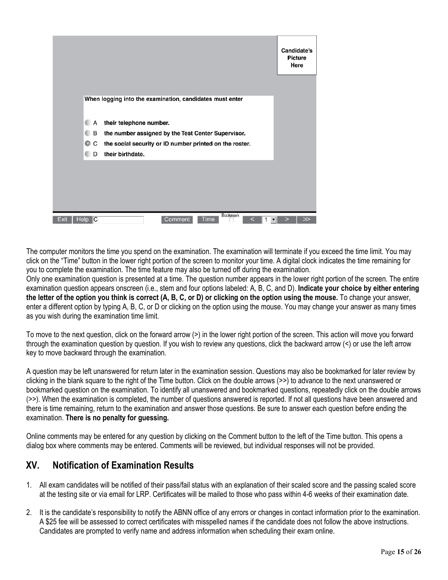|              |        |                                                          | Candidate's<br><b>Picture</b><br>Here |
|--------------|--------|----------------------------------------------------------|---------------------------------------|
|              |        | When logging into the examination, candidates must enter |                                       |
|              | А      | their telephone number.                                  |                                       |
|              | B      | the number assigned by the Test Center Supervisor.       |                                       |
|              | C<br>0 | the social security or ID number printed on the roster.  |                                       |
|              | D      | their birthdate.                                         |                                       |
|              |        |                                                          |                                       |
|              |        |                                                          |                                       |
|              |        |                                                          |                                       |
|              |        |                                                          |                                       |
| Exit<br>Help | C      | Bookmark<br>Comment<br>Time                              |                                       |

The computer monitors the time you spend on the examination. The examination will terminate if you exceed the time limit. You may click on the "Time" button in the lower right portion of the screen to monitor your time. A digital clock indicates the time remaining for you to complete the examination. The time feature may also be turned off during the examination.

Only one examination question is presented at a time. The question number appears in the lower right portion of the screen. The entire examination question appears onscreen (i.e., stem and four options labeled: A, B, C, and D). **Indicate your choice by either entering the letter of the option you think is correct (A, B, C, or D) or clicking on the option using the mouse.** To change your answer, enter a different option by typing A, B, C, or D or clicking on the option using the mouse. You may change your answer as many times as you wish during the examination time limit.

To move to the next question, click on the forward arrow (>) in the lower right portion of the screen. This action will move you forward through the examination question by question. If you wish to review any questions, click the backward arrow (<) or use the left arrow key to move backward through the examination.

A question may be left unanswered for return later in the examination session. Questions may also be bookmarked for later review by clicking in the blank square to the right of the Time button. Click on the double arrows (>>) to advance to the next unanswered or bookmarked question on the examination. To identify all unanswered and bookmarked questions, repeatedly click on the double arrows (>>). When the examination is completed, the number of questions answered is reported. If not all questions have been answered and there is time remaining, return to the examination and answer those questions. Be sure to answer each question before ending the examination. **There is no penalty for guessing.** 

Online comments may be entered for any question by clicking on the Comment button to the left of the Time button. This opens a dialog box where comments may be entered. Comments will be reviewed, but individual responses will not be provided.

## **XV. Notification of Examination Results**

- 1. All exam candidates will be notified of their pass/fail status with an explanation of their scaled score and the passing scaled score at the testing site or via email for LRP. Certificates will be mailed to those who pass within 4-6 weeks of their examination date.
- 2. It is the candidate's responsibility to notify the ABNN office of any errors or changes in contact information prior to the examination. A \$25 fee will be assessed to correct certificates with misspelled names if the candidate does not follow the above instructions. Candidates are prompted to verify name and address information when scheduling their exam online.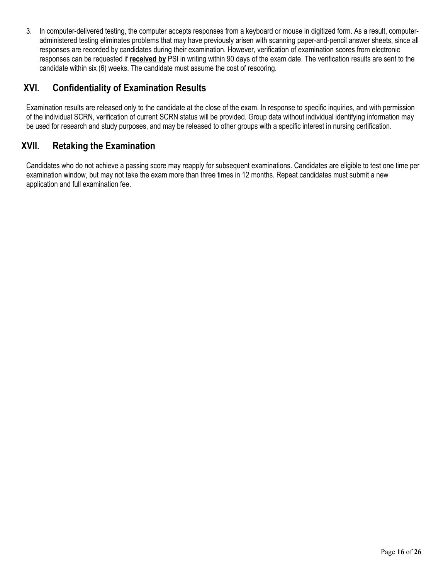3. In computer-delivered testing, the computer accepts responses from a keyboard or mouse in digitized form. As a result, computeradministered testing eliminates problems that may have previously arisen with scanning paper-and-pencil answer sheets, since all responses are recorded by candidates during their examination. However, verification of examination scores from electronic responses can be requested if **received by** PSI in writing within 90 days of the exam date. The verification results are sent to the candidate within six (6) weeks. The candidate must assume the cost of rescoring.

## **XVI. Confidentiality of Examination Results**

Examination results are released only to the candidate at the close of the exam. In response to specific inquiries, and with permission of the individual SCRN, verification of current SCRN status will be provided. Group data without individual identifying information may be used for research and study purposes, and may be released to other groups with a specific interest in nursing certification.

## **XVII. Retaking the Examination**

Candidates who do not achieve a passing score may reapply for subsequent examinations. Candidates are eligible to test one time per examination window, but may not take the exam more than three times in 12 months. Repeat candidates must submit a new application and full examination fee.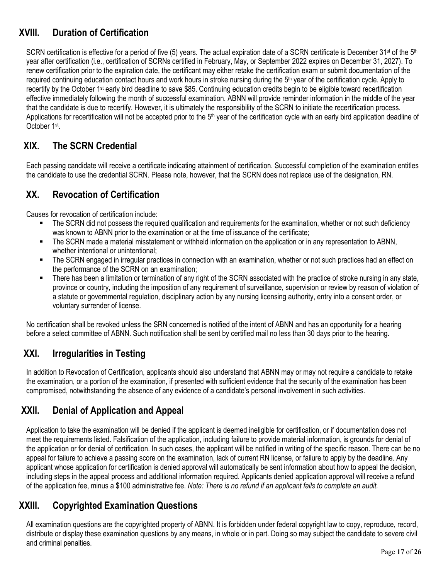## **XVIII. Duration of Certification**

SCRN certification is effective for a period of five (5) years. The actual expiration date of a SCRN certificate is December 31<sup>st</sup> of the 5<sup>th</sup> year after certification (i.e., certification of SCRNs certified in February, May, or September 2022 expires on December 31, 2027). To renew certification prior to the expiration date, the certificant may either retake the certification exam or submit documentation of the required continuing education contact hours and work hours in stroke nursing during the 5<sup>th</sup> year of the certification cycle. Apply to recertify by the October 1st early bird deadline to save \$85. Continuing education credits begin to be eligible toward recertification effective immediately following the month of successful examination. ABNN will provide reminder information in the middle of the year that the candidate is due to recertify. However, it is ultimately the responsibility of the SCRN to initiate the recertification process. Applications for recertification will not be accepted prior to the 5<sup>th</sup> year of the certification cycle with an early bird application deadline of October 1st.

## **XIX. The SCRN Credential**

Each passing candidate will receive a certificate indicating attainment of certification. Successful completion of the examination entitles the candidate to use the credential SCRN. Please note, however, that the SCRN does not replace use of the designation, RN.

## **XX. Revocation of Certification**

Causes for revocation of certification include:

- The SCRN did not possess the required qualification and requirements for the examination, whether or not such deficiency was known to ABNN prior to the examination or at the time of issuance of the certificate;
- The SCRN made a material misstatement or withheld information on the application or in any representation to ABNN, whether intentional or unintentional;
- The SCRN engaged in irregular practices in connection with an examination, whether or not such practices had an effect on the performance of the SCRN on an examination;
- There has been a limitation or termination of any right of the SCRN associated with the practice of stroke nursing in any state, province or country, including the imposition of any requirement of surveillance, supervision or review by reason of violation of a statute or governmental regulation, disciplinary action by any nursing licensing authority, entry into a consent order, or voluntary surrender of license.

No certification shall be revoked unless the SRN concerned is notified of the intent of ABNN and has an opportunity for a hearing before a select committee of ABNN. Such notification shall be sent by certified mail no less than 30 days prior to the hearing.

## **XXI. Irregularities in Testing**

In addition to Revocation of Certification, applicants should also understand that ABNN may or may not require a candidate to retake the examination, or a portion of the examination, if presented with sufficient evidence that the security of the examination has been compromised, notwithstanding the absence of any evidence of a candidate's personal involvement in such activities.

## **XXII. Denial of Application and Appeal**

Application to take the examination will be denied if the applicant is deemed ineligible for certification, or if documentation does not meet the requirements listed. Falsification of the application, including failure to provide material information, is grounds for denial of the application or for denial of certification. In such cases, the applicant will be notified in writing of the specific reason. There can be no appeal for failure to achieve a passing score on the examination, lack of current RN license, or failure to apply by the deadline. Any applicant whose application for certification is denied approval will automatically be sent information about how to appeal the decision, including steps in the appeal process and additional information required. Applicants denied application approval will receive a refund of the application fee, minus a \$100 administrative fee. *Note: There is no refund if an applicant fails to complete an audit.* 

## **XXIII. Copyrighted Examination Questions**

All examination questions are the copyrighted property of ABNN. It is forbidden under federal copyright law to copy, reproduce, record, distribute or display these examination questions by any means, in whole or in part. Doing so may subject the candidate to severe civil and criminal penalties.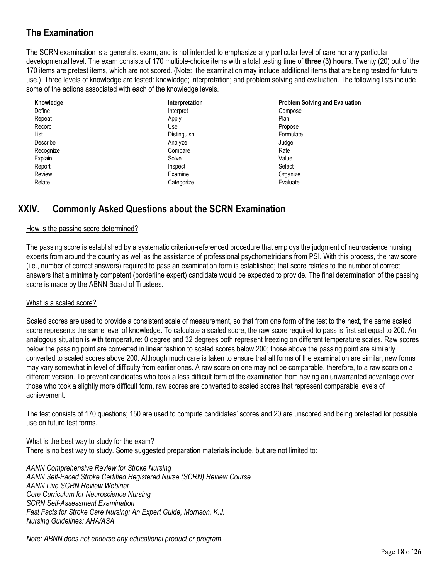## **The Examination**

The SCRN examination is a generalist exam, and is not intended to emphasize any particular level of care nor any particular developmental level. The exam consists of 170 multiple-choice items with a total testing time of **three (3) hours**. Twenty (20) out of the 170 items are pretest items, which are not scored. (Note: the examination may include additional items that are being tested for future use.) Three levels of knowledge are tested: knowledge; interpretation; and problem solving and evaluation. The following lists include some of the actions associated with each of the knowledge levels.

| Knowledge | Interpretation | <b>Problem Solving and Evaluation</b> |
|-----------|----------------|---------------------------------------|
| Define    | Interpret      | Compose                               |
| Repeat    | Apply          | Plan                                  |
| Record    | Use            | Propose                               |
| List      | Distinguish    | Formulate                             |
| Describe  | Analyze        | Judge                                 |
| Recognize | Compare        | Rate                                  |
| Explain   | Solve          | Value                                 |
| Report    | Inspect        | Select                                |
| Review    | Examine        | Organize                              |
| Relate    | Categorize     | Evaluate                              |

## **XXIV. Commonly Asked Questions about the SCRN Examination**

#### How is the passing score determined?

The passing score is established by a systematic criterion-referenced procedure that employs the judgment of neuroscience nursing experts from around the country as well as the assistance of professional psychometricians from PSI. With this process, the raw score (i.e., number of correct answers) required to pass an examination form is established; that score relates to the number of correct answers that a minimally competent (borderline expert) candidate would be expected to provide. The final determination of the passing score is made by the ABNN Board of Trustees.

#### What is a scaled score?

Scaled scores are used to provide a consistent scale of measurement, so that from one form of the test to the next, the same scaled score represents the same level of knowledge. To calculate a scaled score, the raw score required to pass is first set equal to 200. An analogous situation is with temperature: 0 degree and 32 degrees both represent freezing on different temperature scales. Raw scores below the passing point are converted in linear fashion to scaled scores below 200; those above the passing point are similarly converted to scaled scores above 200. Although much care is taken to ensure that all forms of the examination are similar, new forms may vary somewhat in level of difficulty from earlier ones. A raw score on one may not be comparable, therefore, to a raw score on a different version. To prevent candidates who took a less difficult form of the examination from having an unwarranted advantage over those who took a slightly more difficult form, raw scores are converted to scaled scores that represent comparable levels of achievement.

The test consists of 170 questions; 150 are used to compute candidates' scores and 20 are unscored and being pretested for possible use on future test forms.

What is the best way to study for the exam? There is no best way to study. Some suggested preparation materials include, but are not limited to:

*AANN Comprehensive Review for Stroke Nursing AANN Self-Paced Stroke Certified Registered Nurse (SCRN) Review Course AANN Live SCRN Review Webinar Core Curriculum for Neuroscience Nursing SCRN Self-Assessment Examination Fast Facts for Stroke Care Nursing: An Expert Guide, Morrison, K.J. Nursing Guidelines: AHA/ASA* 

*Note: ABNN does not endorse any educational product or program.*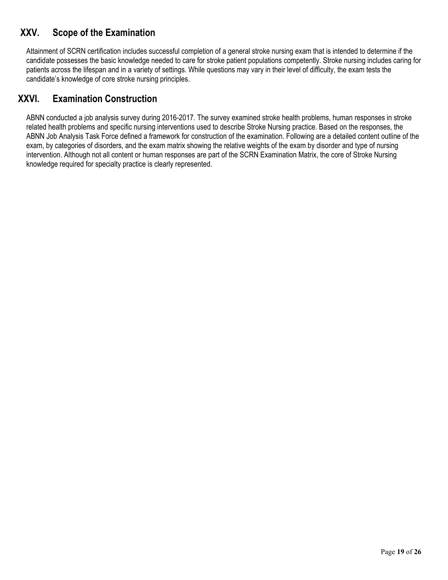## **XXV. Scope of the Examination**

Attainment of SCRN certification includes successful completion of a general stroke nursing exam that is intended to determine if the candidate possesses the basic knowledge needed to care for stroke patient populations competently. Stroke nursing includes caring for patients across the lifespan and in a variety of settings. While questions may vary in their level of difficulty, the exam tests the candidate's knowledge of core stroke nursing principles.

## **XXVI. Examination Construction**

ABNN conducted a job analysis survey during 2016-2017. The survey examined stroke health problems, human responses in stroke related health problems and specific nursing interventions used to describe Stroke Nursing practice. Based on the responses, the ABNN Job Analysis Task Force defined a framework for construction of the examination. Following are a detailed content outline of the exam, by categories of disorders, and the exam matrix showing the relative weights of the exam by disorder and type of nursing intervention. Although not all content or human responses are part of the SCRN Examination Matrix, the core of Stroke Nursing knowledge required for specialty practice is clearly represented.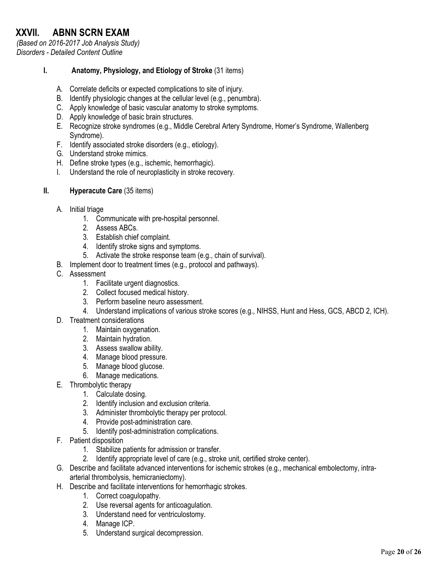# **XXVII. ABNN SCRN EXAM**

*(Based on 2016-2017 Job Analysis Study) Disorders - Detailed Content Outline* 

#### **I. Anatomy, Physiology, and Etiology of Stroke** (31 items)

- A. Correlate deficits or expected complications to site of injury.
- B. Identify physiologic changes at the cellular level (e.g., penumbra).
- C. Apply knowledge of basic vascular anatomy to stroke symptoms.
- D. Apply knowledge of basic brain structures.
- E. Recognize stroke syndromes (e.g., Middle Cerebral Artery Syndrome, Homer's Syndrome, Wallenberg Syndrome).
- F. Identify associated stroke disorders (e.g., etiology).
- G. Understand stroke mimics.
- H. Define stroke types (e.g., ischemic, hemorrhagic).
- I. Understand the role of neuroplasticity in stroke recovery.
- **II. Hyperacute Care** (35 items)
	- A. Initial triage
		- 1. Communicate with pre-hospital personnel.
		- 2. Assess ABCs.
		- 3. Establish chief complaint.
		- 4. Identify stroke signs and symptoms.
		- 5. Activate the stroke response team (e.g., chain of survival).
	- B. Implement door to treatment times (e.g., protocol and pathways).
	- C. Assessment
		- 1. Facilitate urgent diagnostics.
		- 2. Collect focused medical history.
		- 3. Perform baseline neuro assessment.
		- 4. Understand implications of various stroke scores (e.g., NIHSS, Hunt and Hess, GCS, ABCD 2, ICH).
	- D. Treatment considerations
		- 1. Maintain oxygenation.
		- 2. Maintain hydration.
		- 3. Assess swallow ability.
		- 4. Manage blood pressure.
		- 5. Manage blood glucose.
		- 6. Manage medications.
	- E. Thrombolytic therapy
		- 1. Calculate dosing.
		- 2. Identify inclusion and exclusion criteria.
		- 3. Administer thrombolytic therapy per protocol.
		- 4. Provide post-administration care.
		- 5. Identify post-administration complications.
	- F. Patient disposition
		- 1. Stabilize patients for admission or transfer.
		- 2. Identify appropriate level of care (e.g., stroke unit, certified stroke center).
	- G. Describe and facilitate advanced interventions for ischemic strokes (e.g., mechanical embolectomy, intraarterial thrombolysis, hemicraniectomy).
	- H. Describe and facilitate interventions for hemorrhagic strokes.
		- 1. Correct coagulopathy.
		- 2. Use reversal agents for anticoagulation.
		- 3. Understand need for ventriculostomy.
		- 4. Manage ICP.
		- 5. Understand surgical decompression.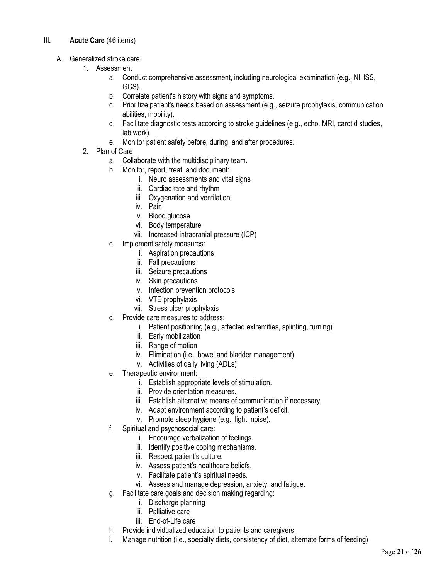#### **III. Acute Care** (46 items)

- A. Generalized stroke care
	- 1. Assessment
		- a. Conduct comprehensive assessment, including neurological examination (e.g., NIHSS, GCS).
		- b. Correlate patient's history with signs and symptoms.
		- c. Prioritize patient's needs based on assessment (e.g., seizure prophylaxis, communication abilities, mobility).
		- d. Facilitate diagnostic tests according to stroke guidelines (e.g., echo, MRI, carotid studies, lab work).
		- e. Monitor patient safety before, during, and after procedures.
	- 2. Plan of Care
		- a. Collaborate with the multidisciplinary team.
		- b. Monitor, report, treat, and document:
			- i. Neuro assessments and vital signs
			- ii. Cardiac rate and rhythm
			- iii. Oxygenation and ventilation
			- iv. Pain
			- v. Blood glucose
			- vi. Body temperature
			- vii. Increased intracranial pressure (ICP)
		- c. Implement safety measures:
			- i. Aspiration precautions
			- ii. Fall precautions
			- iii. Seizure precautions
			- iv. Skin precautions
			- v. Infection prevention protocols
			- vi. VTE prophylaxis
			- vii. Stress ulcer prophylaxis
		- d. Provide care measures to address:
			- i. Patient positioning (e.g., affected extremities, splinting, turning)
			- ii. Early mobilization
			- iii. Range of motion
			- iv. Elimination (i.e., bowel and bladder management)
			- v. Activities of daily living (ADLs)
		- e. Therapeutic environment:
			- i. Establish appropriate levels of stimulation.
			- ii. Provide orientation measures.
			- iii. Establish alternative means of communication if necessary.
			- iv. Adapt environment according to patient's deficit.
			- v. Promote sleep hygiene (e.g., light, noise).
		- f. Spiritual and psychosocial care:
			- i. Encourage verbalization of feelings.
			- ii. Identify positive coping mechanisms.
			- iii. Respect patient's culture.
			- iv. Assess patient's healthcare beliefs.
			- v. Facilitate patient's spiritual needs.
			- vi. Assess and manage depression, anxiety, and fatigue.
		- g. Facilitate care goals and decision making regarding:
			- i. Discharge planning
			- ii. Palliative care
			- iii. End-of-Life care
		- h. Provide individualized education to patients and caregivers.
		- i. Manage nutrition (i.e., specialty diets, consistency of diet, alternate forms of feeding)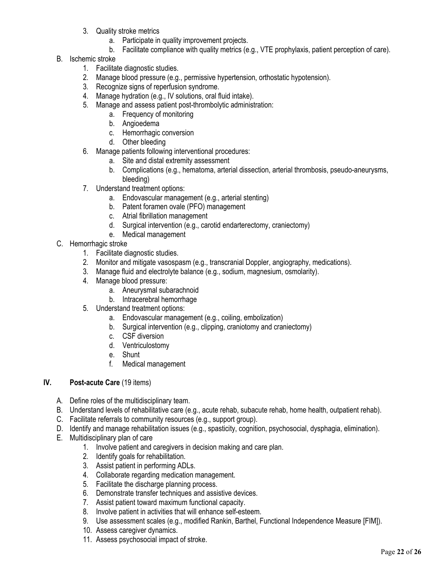- 3. Quality stroke metrics
	- a. Participate in quality improvement projects.
	- b. Facilitate compliance with quality metrics (e.g., VTE prophylaxis, patient perception of care).
- B. Ischemic stroke
	- 1. Facilitate diagnostic studies.
	- 2. Manage blood pressure (e.g., permissive hypertension, orthostatic hypotension).
	- 3. Recognize signs of reperfusion syndrome.
	- 4. Manage hydration (e.g., IV solutions, oral fluid intake).
	- 5. Manage and assess patient post-thrombolytic administration:
		- a. Frequency of monitoring
		- b. Angioedema
		- c. Hemorrhagic conversion
		- d. Other bleeding
	- 6. Manage patients following interventional procedures:
		- a. Site and distal extremity assessment
		- b. Complications (e.g., hematoma, arterial dissection, arterial thrombosis, pseudo-aneurysms, bleeding)
	- 7. Understand treatment options:
		- a. Endovascular management (e.g., arterial stenting)
		- b. Patent foramen ovale (PFO) management
		- c. Atrial fibrillation management
		- d. Surgical intervention (e.g., carotid endarterectomy, craniectomy)
		- e. Medical management
- C. Hemorrhagic stroke
	- 1. Facilitate diagnostic studies.
	- 2. Monitor and mitigate vasospasm (e.g., transcranial Doppler, angiography, medications).
	- 3. Manage fluid and electrolyte balance (e.g., sodium, magnesium, osmolarity).
	- 4. Manage blood pressure:
		- a. Aneurysmal subarachnoid
		- b. Intracerebral hemorrhage
	- 5. Understand treatment options:
		- a. Endovascular management (e.g., coiling, embolization)
		- b. Surgical intervention (e.g., clipping, craniotomy and craniectomy)
		- c. CSF diversion
		- d. Ventriculostomy
		- e. Shunt
		- f. Medical management

#### **IV. Post-acute Care** (19 items)

- A. Define roles of the multidisciplinary team.
- B. Understand levels of rehabilitative care (e.g., acute rehab, subacute rehab, home health, outpatient rehab).
- C. Facilitate referrals to community resources (e.g., support group).
- D. Identify and manage rehabilitation issues (e.g., spasticity, cognition, psychosocial, dysphagia, elimination).
- E. Multidisciplinary plan of care
	- 1. Involve patient and caregivers in decision making and care plan.
	- 2. Identify goals for rehabilitation.
	- 3. Assist patient in performing ADLs.
	- 4. Collaborate regarding medication management.
	- 5. Facilitate the discharge planning process.
	- 6. Demonstrate transfer techniques and assistive devices.
	- 7. Assist patient toward maximum functional capacity.
	- 8. Involve patient in activities that will enhance self-esteem.
	- 9. Use assessment scales (e.g., modified Rankin, Barthel, Functional Independence Measure [FIM]).
	- 10. Assess caregiver dynamics.
	- 11. Assess psychosocial impact of stroke.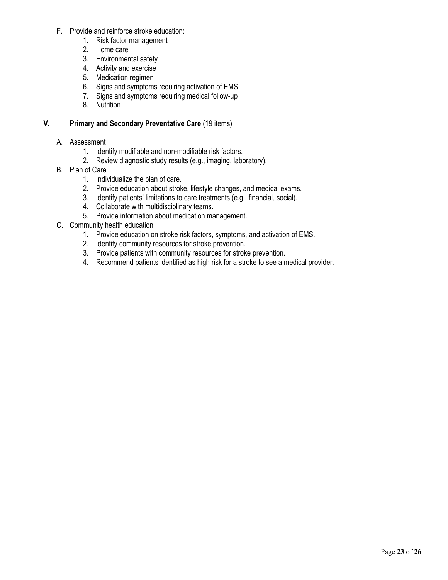- F. Provide and reinforce stroke education:
	- 1. Risk factor management
	- 2. Home care
	- 3. Environmental safety
	- 4. Activity and exercise
	- 5. Medication regimen
	- 6. Signs and symptoms requiring activation of EMS
	- 7. Signs and symptoms requiring medical follow-up
	- 8. Nutrition

#### **V. Primary and Secondary Preventative Care** (19 items)

#### A. Assessment

- 1. Identify modifiable and non-modifiable risk factors.
- 2. Review diagnostic study results (e.g., imaging, laboratory).
- B. Plan of Care
	- 1. Individualize the plan of care.
	- 2. Provide education about stroke, lifestyle changes, and medical exams.
	- 3. Identify patients' limitations to care treatments (e.g., financial, social).
	- 4. Collaborate with multidisciplinary teams.
	- 5. Provide information about medication management.
- C. Community health education
	- 1. Provide education on stroke risk factors, symptoms, and activation of EMS.
	- 2. Identify community resources for stroke prevention.
	- 3. Provide patients with community resources for stroke prevention.
	- 4. Recommend patients identified as high risk for a stroke to see a medical provider.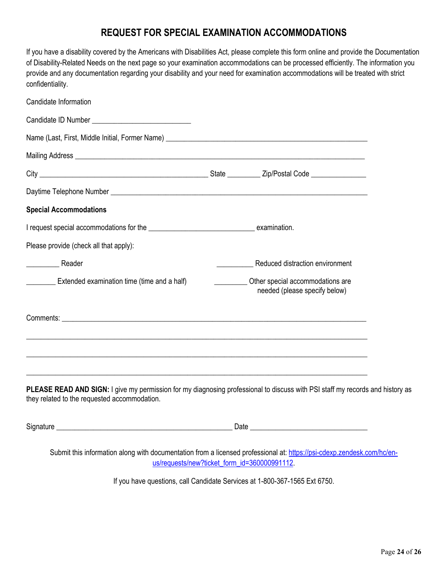## **REQUEST FOR SPECIAL EXAMINATION ACCOMMODATIONS**

| If you have a disability covered by the Americans with Disabilities Act, please complete this form online and provide the Documentation |
|-----------------------------------------------------------------------------------------------------------------------------------------|
| of Disability-Related Needs on the next page so your examination accommodations can be processed efficiently. The information you       |
| provide and any documentation regarding your disability and your need for examination accommodations will be treated with strict        |
| confidentiality.                                                                                                                        |

| Reduced distraction environment                                                   |
|-----------------------------------------------------------------------------------|
| Other special accommodations are<br>needed (please specify below)                 |
|                                                                                   |
| ,我们也不能在这里的时候,我们也不能在这里的时候,我们也不能在这里的时候,我们也不能会在这里的时候,我们也不能会在这里的时候,我们也不能会在这里的时候,我们也不能 |
|                                                                                   |
|                                                                                   |
|                                                                                   |

Signature \_\_\_\_\_\_\_\_\_\_\_\_\_\_\_\_\_\_\_\_\_\_\_\_\_\_\_\_\_\_\_\_\_\_\_\_\_\_\_\_\_\_\_\_\_\_\_\_ Date \_\_\_\_\_\_\_\_\_\_\_\_\_\_\_\_\_\_\_\_\_\_\_\_\_\_\_\_\_\_\_\_

Submit this information along with documentation from a licensed professional at: https://psi-cdexp.zendesk.com/hc/enus/requests/new?ticket\_form\_id=360000991112.

If you have questions, call Candidate Services at 1-800-367-1565 Ext 6750.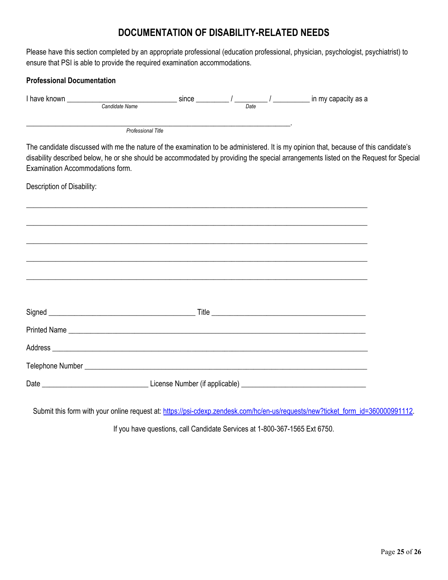## **DOCUMENTATION OF DISABILITY-RELATED NEEDS**

Please have this section completed by an appropriate professional (education professional, physician, psychologist, psychiatrist) to ensure that PSI is able to provide the required examination accommodations.

| <b>Professional Documentation</b>                                                                                          |                                                                                   |  |                                                                                                                                                                                                                                                                              |  |
|----------------------------------------------------------------------------------------------------------------------------|-----------------------------------------------------------------------------------|--|------------------------------------------------------------------------------------------------------------------------------------------------------------------------------------------------------------------------------------------------------------------------------|--|
| I have known $\frac{1}{\text{Candidate Name}}$ since $\frac{1}{\text{Date}}$ / $\frac{1}{\text{Date}}$ in my capacity as a |                                                                                   |  |                                                                                                                                                                                                                                                                              |  |
|                                                                                                                            | Professional Title                                                                |  |                                                                                                                                                                                                                                                                              |  |
| Examination Accommodations form.                                                                                           |                                                                                   |  | The candidate discussed with me the nature of the examination to be administered. It is my opinion that, because of this candidate's<br>disability described below, he or she should be accommodated by providing the special arrangements listed on the Request for Special |  |
| Description of Disability:                                                                                                 |                                                                                   |  |                                                                                                                                                                                                                                                                              |  |
|                                                                                                                            |                                                                                   |  |                                                                                                                                                                                                                                                                              |  |
|                                                                                                                            |                                                                                   |  |                                                                                                                                                                                                                                                                              |  |
|                                                                                                                            | ,我们也不能会在这里的人,我们也不能会在这里,我们也不能会在这里,我们也不能会在这里,我们也不能会在这里,我们也不能会在这里,我们也不能会在这里,我们也不能会在这 |  |                                                                                                                                                                                                                                                                              |  |
|                                                                                                                            |                                                                                   |  |                                                                                                                                                                                                                                                                              |  |
|                                                                                                                            |                                                                                   |  |                                                                                                                                                                                                                                                                              |  |
|                                                                                                                            |                                                                                   |  |                                                                                                                                                                                                                                                                              |  |
|                                                                                                                            |                                                                                   |  |                                                                                                                                                                                                                                                                              |  |
|                                                                                                                            |                                                                                   |  |                                                                                                                                                                                                                                                                              |  |
|                                                                                                                            |                                                                                   |  |                                                                                                                                                                                                                                                                              |  |
|                                                                                                                            |                                                                                   |  |                                                                                                                                                                                                                                                                              |  |

Submit this form with your online request at: https://psi-cdexp.zendesk.com/hc/en-us/requests/new?ticket\_form\_id=360000991112.

If you have questions, call Candidate Services at 1-800-367-1565 Ext 6750.